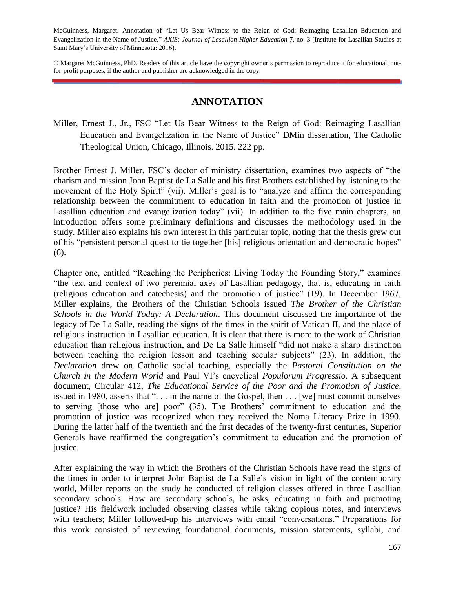McGuinness, Margaret. Annotation of "Let Us Bear Witness to the Reign of God: Reimaging Lasallian Education and Evangelization in the Name of Justice." *AXIS: Journal of Lasallian Higher Education* 7, no. 3 (Institute for Lasallian Studies at Saint Mary's University of Minnesota: 2016).

© Margaret McGuinness, PhD. Readers of this article have the copyright owner's permission to reproduce it for educational, notfor-profit purposes, if the author and publisher are acknowledged in the copy.

## **ANNOTATION**

Miller, Ernest J., Jr., FSC "Let Us Bear Witness to the Reign of God: Reimaging Lasallian Education and Evangelization in the Name of Justice" DMin dissertation, The Catholic Theological Union, Chicago, Illinois. 2015. 222 pp.

Brother Ernest J. Miller, FSC's doctor of ministry dissertation, examines two aspects of "the charism and mission John Baptist de La Salle and his first Brothers established by listening to the movement of the Holy Spirit" (vii). Miller's goal is to "analyze and affirm the corresponding relationship between the commitment to education in faith and the promotion of justice in Lasallian education and evangelization today" (vii). In addition to the five main chapters, an introduction offers some preliminary definitions and discusses the methodology used in the study. Miller also explains his own interest in this particular topic, noting that the thesis grew out of his "persistent personal quest to tie together [his] religious orientation and democratic hopes" (6).

Chapter one, entitled "Reaching the Peripheries: Living Today the Founding Story," examines "the text and context of two perennial axes of Lasallian pedagogy, that is, educating in faith (religious education and catechesis) and the promotion of justice" (19). In December 1967, Miller explains, the Brothers of the Christian Schools issued *The Brother of the Christian Schools in the World Today: A Declaration*. This document discussed the importance of the legacy of De La Salle, reading the signs of the times in the spirit of Vatican II, and the place of religious instruction in Lasallian education. It is clear that there is more to the work of Christian education than religious instruction, and De La Salle himself "did not make a sharp distinction between teaching the religion lesson and teaching secular subjects" (23). In addition, the *Declaration* drew on Catholic social teaching, especially the *Pastoral Constitution on the Church in the Modern World* and Paul VI's encyclical *Populorum Progressio*. A subsequent document, Circular 412, *The Educational Service of the Poor and the Promotion of Justice*, issued in 1980, asserts that ". . . in the name of the Gospel, then . . . [we] must commit ourselves to serving [those who are] poor" (35). The Brothers' commitment to education and the promotion of justice was recognized when they received the Noma Literacy Prize in 1990. During the latter half of the twentieth and the first decades of the twenty-first centuries, Superior Generals have reaffirmed the congregation's commitment to education and the promotion of justice.

After explaining the way in which the Brothers of the Christian Schools have read the signs of the times in order to interpret John Baptist de La Salle's vision in light of the contemporary world, Miller reports on the study he conducted of religion classes offered in three Lasallian secondary schools. How are secondary schools, he asks, educating in faith and promoting justice? His fieldwork included observing classes while taking copious notes, and interviews with teachers; Miller followed-up his interviews with email "conversations." Preparations for this work consisted of reviewing foundational documents, mission statements, syllabi, and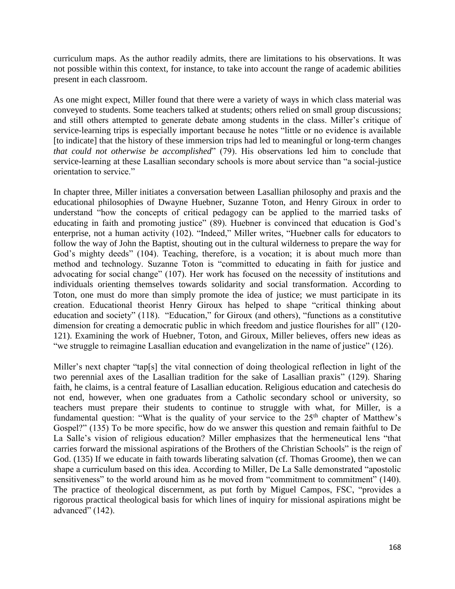curriculum maps. As the author readily admits, there are limitations to his observations. It was not possible within this context, for instance, to take into account the range of academic abilities present in each classroom.

As one might expect, Miller found that there were a variety of ways in which class material was conveyed to students. Some teachers talked at students; others relied on small group discussions; and still others attempted to generate debate among students in the class. Miller's critique of service-learning trips is especially important because he notes "little or no evidence is available [to indicate] that the history of these immersion trips had led to meaningful or long-term changes *that could not otherwise be accomplished*" (79). His observations led him to conclude that service-learning at these Lasallian secondary schools is more about service than "a social-justice orientation to service."

In chapter three, Miller initiates a conversation between Lasallian philosophy and praxis and the educational philosophies of Dwayne Huebner, Suzanne Toton, and Henry Giroux in order to understand "how the concepts of critical pedagogy can be applied to the married tasks of educating in faith and promoting justice" (89). Huebner is convinced that education is God's enterprise, not a human activity (102). "Indeed," Miller writes, "Huebner calls for educators to follow the way of John the Baptist, shouting out in the cultural wilderness to prepare the way for God's mighty deeds" (104). Teaching, therefore, is a vocation; it is about much more than method and technology. Suzanne Toton is "committed to educating in faith for justice and advocating for social change" (107). Her work has focused on the necessity of institutions and individuals orienting themselves towards solidarity and social transformation. According to Toton, one must do more than simply promote the idea of justice; we must participate in its creation. Educational theorist Henry Giroux has helped to shape "critical thinking about education and society" (118). "Education," for Giroux (and others), "functions as a constitutive dimension for creating a democratic public in which freedom and justice flourishes for all" (120- 121). Examining the work of Huebner, Toton, and Giroux, Miller believes, offers new ideas as "we struggle to reimagine Lasallian education and evangelization in the name of justice" (126).

Miller's next chapter "tap[s] the vital connection of doing theological reflection in light of the two perennial axes of the Lasallian tradition for the sake of Lasallian praxis" (129). Sharing faith, he claims, is a central feature of Lasallian education. Religious education and catechesis do not end, however, when one graduates from a Catholic secondary school or university, so teachers must prepare their students to continue to struggle with what, for Miller, is a fundamental question: "What is the quality of your service to the  $25<sup>th</sup>$  chapter of Matthew's Gospel?" (135) To be more specific, how do we answer this question and remain faithful to De La Salle's vision of religious education? Miller emphasizes that the hermeneutical lens "that carries forward the missional aspirations of the Brothers of the Christian Schools" is the reign of God. (135) If we educate in faith towards liberating salvation (cf. Thomas Groome), then we can shape a curriculum based on this idea. According to Miller, De La Salle demonstrated "apostolic sensitiveness" to the world around him as he moved from "commitment to commitment" (140). The practice of theological discernment, as put forth by Miguel Campos, FSC, "provides a rigorous practical theological basis for which lines of inquiry for missional aspirations might be advanced" (142).